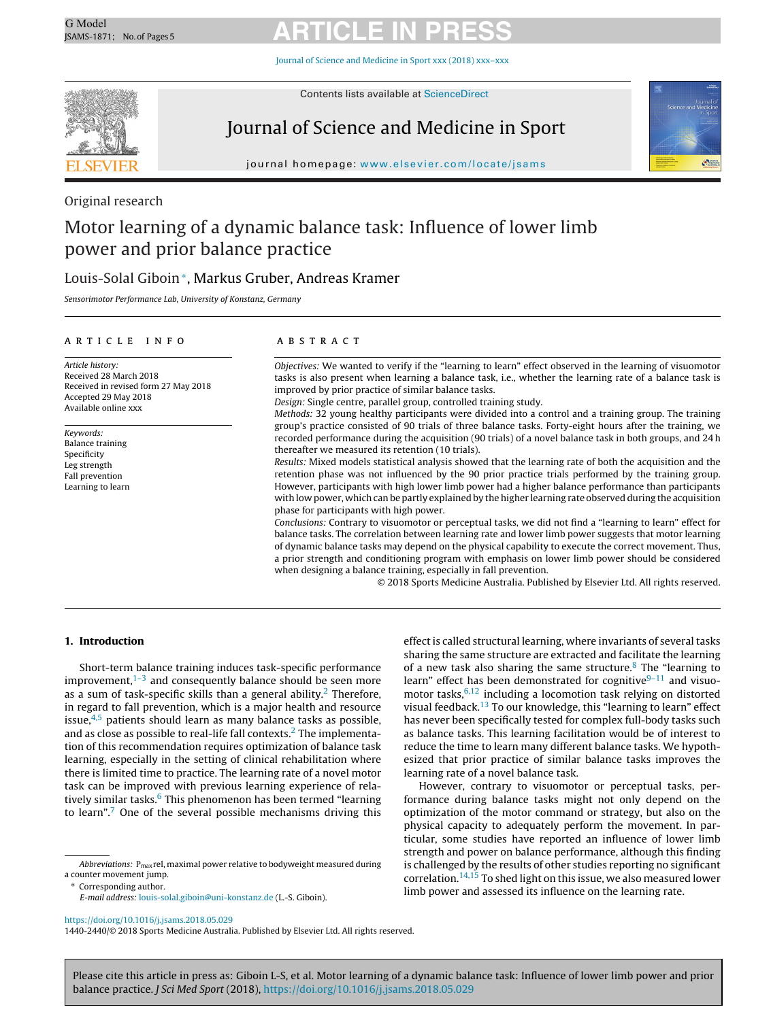Journal of Science and [Medicine](https://doi.org/10.1016/j.jsams.2018.05.029) in Sport xxx (2018) xxx–xxx



Contents lists available at [ScienceDirect](http://www.sciencedirect.com/science/journal/14402440)

### Journal of Science and Medicine in Sport



journal homepage: [www.elsevier.com/locate/jsams](http://www.elsevier.com/locate/jsams)

Original research

### Motor learning of a dynamic balance task: Influence of lower limb power and prior balance practice

### Louis-Solal Giboin∗, Markus Gruber, Andreas Kramer

Sensorimotor Performance Lab, University of Konstanz, Germany

### ARTICLE INFO

Article history: Received 28 March 2018 Received in revised form 27 May 2018 Accepted 29 May 2018 Available online xxx

Keywords: Balance training Specificity Leg strength Fall prevention Learning to learn

### a b s t r a c t

Objectives: We wanted to verify if the "learning to learn" effect observed in the learning of visuomotor tasks is also present when learning a balance task, i.e., whether the learning rate of a balance task is improved by prior practice of similar balance tasks.

Design: Single centre, parallel group, controlled training study.

Methods: 32 young healthy participants were divided into a control and a training group. The training group's practice consisted of 90 trials of three balance tasks. Forty-eight hours after the training, we recorded performance during the acquisition (90 trials) of a novel balance task in both groups, and 24 h thereafter we measured its retention (10 trials).

Results: Mixed models statistical analysis showed that the learning rate of both the acquisition and the retention phase was not influenced by the 90 prior practice trials performed by the training group. However, participants with high lower limb power had a higher balance performance than participants with low power, which can be partly explained by the higher learning rate observed during the acquisition phase for participants with high power.

Conclusions: Contrary to visuomotor or perceptual tasks, we did not find a "learning to learn" effect for balance tasks. The correlation between learning rate and lower limb power suggests that motor learning of dynamic balance tasks may depend on the physical capability to execute the correct movement. Thus, a prior strength and conditioning program with emphasis on lower limb power should be considered when designing a balance training, especially in fall prevention.

© 2018 Sports Medicine Australia. Published by Elsevier Ltd. All rights reserved.

### **1. Introduction**

Short-term balance training induces task-specific performance improvement, $1-3$  and consequently balance should be seen more as a sum of task-specific skills than a general ability.<sup>2</sup> Therefore, in regard to fall prevention, which is a major health and resource issue, $4.5$  patients should learn as many balance tasks as possible, and as close as possible to real-life fall contexts.[2](#page-4-0) The implementation of this recommendation requires optimization of balance task learning, especially in the setting of clinical rehabilitation where there is limited time to practice. The learning rate of a novel motor task can be improved with previous learning experience of relatively similar tasks. $6$  This phenomenon has been termed "learning to learn"[.7](#page-4-0) One of the several possible mechanisms driving this

Abbreviations:  $P_{\text{max}}$ rel, maximal power relative to bodyweight measured during a counter movement jump.

Corresponding author.

effect is called structural learning, where invariants of several tasks sharing the same structure are extracted and facilitate the learning of a new task also sharing the same structure.<sup>[8](#page-4-0)</sup> The "learning to learn" effect has been demonstrated for cognitive $9-11$  and visuomotor tasks,  $6,12$  including a locomotion task relying on distorted visual feedback.[13](#page-4-0) To our knowledge, this "learning to learn" effect has never been specifically tested for complex full-body tasks such as balance tasks. This learning facilitation would be of interest to reduce the time to learn many different balance tasks. We hypothesized that prior practice of similar balance tasks improves the learning rate of a novel balance task.

However, contrary to visuomotor or perceptual tasks, performance during balance tasks might not only depend on the optimization of the motor command or strategy, but also on the physical capacity to adequately perform the movement. In particular, some studies have reported an influence of lower limb strength and power on balance performance, although this finding is challenged by the results of other studies reporting no significant correlation[.14,15](#page-4-0) To shed light on this issue, we also measured lower limb power and assessed its influence on the learning rate.

<https://doi.org/10.1016/j.jsams.2018.05.029>

1440-2440/© 2018 Sports Medicine Australia. Published by Elsevier Ltd. All rights reserved.

E-mail address: [louis-solal.giboin@uni-konstanz.de](mailto:louis-solal.giboin@uni-konstanz.de) (L.-S. Giboin).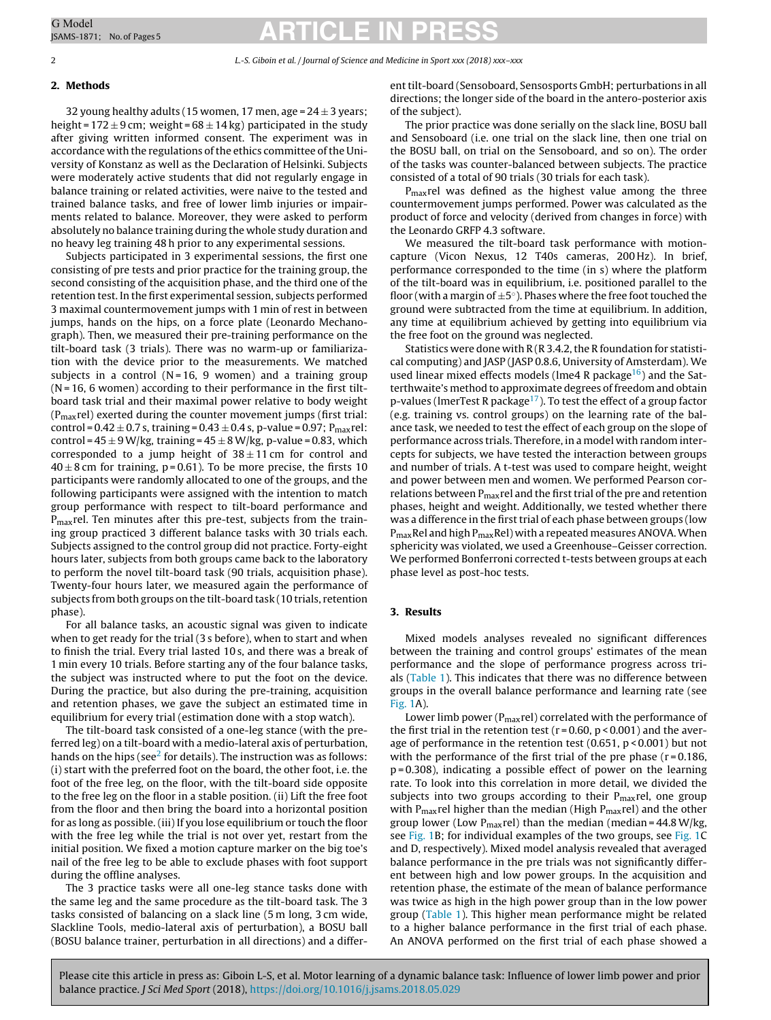### 2 L.-S. Giboin et al. / Journal of Science and Medicine in Sport xxx (2018) xxx–xxx

### **2. Methods**

32 young healthy adults (15 women, 17 men, age =  $24 \pm 3$  years; height =  $172 \pm 9$  cm; weight =  $68 \pm 14$  kg) participated in the study after giving written informed consent. The experiment was in accordance with the regulations of the ethics committee of the University of Konstanz as well as the Declaration of Helsinki. Subjects were moderately active students that did not regularly engage in balance training or related activities, were naive to the tested and trained balance tasks, and free of lower limb injuries or impairments related to balance. Moreover, they were asked to perform absolutely no balance training during the whole study duration and no heavy leg training 48 h prior to any experimental sessions.

Subjects participated in 3 experimental sessions, the first one consisting of pre tests and prior practice for the training group, the second consisting of the acquisition phase, and the third one of the retention test. In the first experimental session, subjects performed 3 maximal countermovement jumps with 1 min of rest in between jumps, hands on the hips, on a force plate (Leonardo Mechanograph). Then, we measured their pre-training performance on the tilt-board task (3 trials). There was no warm-up or familiarization with the device prior to the measurements. We matched subjects in a control ( $N = 16$ , 9 women) and a training group  $(N = 16, 6$  women) according to their performance in the first tiltboard task trial and their maximal power relative to body weight (Pmaxrel) exerted during the counter movement jumps (first trial: control =  $0.42 \pm 0.7$  s, training =  $0.43 \pm 0.4$  s, p-value =  $0.97$ ; P<sub>max</sub>rel: control =  $45 \pm 9$  W/kg, training =  $45 \pm 8$  W/kg, p-value = 0.83, which corresponded to a jump height of  $38 \pm 11$  cm for control and  $40 \pm 8$  cm for training, p=0.61). To be more precise, the firsts 10 participants were randomly allocated to one of the groups, and the following participants were assigned with the intention to match group performance with respect to tilt-board performance and P<sub>max</sub>rel. Ten minutes after this pre-test, subjects from the training group practiced 3 different balance tasks with 30 trials each. Subjects assigned to the control group did not practice. Forty-eight hours later, subjects from both groups came back to the laboratory to perform the novel tilt-board task (90 trials, acquisition phase). Twenty-four hours later, we measured again the performance of subjects from both groups on the tilt-board task (10 trials, retention phase).

For all balance tasks, an acoustic signal was given to indicate when to get ready for the trial (3 s before), when to start and when to finish the trial. Every trial lasted 10 s, and there was a break of 1 min every 10 trials. Before starting any of the four balance tasks, the subject was instructed where to put the foot on the device. During the practice, but also during the pre-training, acquisition and retention phases, we gave the subject an estimated time in equilibrium for every trial (estimation done with a stop watch).

The tilt-board task consisted of a one-leg stance (with the preferred leg) on a tilt-board with a medio-lateral axis of perturbation, hands on the hips (see $2$  for details). The instruction was as follows: (i) start with the preferred foot on the board, the other foot, i.e. the foot of the free leg, on the floor, with the tilt-board side opposite to the free leg on the floor in a stable position. (ii) Lift the free foot from the floor and then bring the board into a horizontal position for as long as possible. (iii) If you lose equilibrium or touch the floor with the free leg while the trial is not over yet, restart from the initial position. We fixed a motion capture marker on the big toe's nail of the free leg to be able to exclude phases with foot support during the offline analyses.

The 3 practice tasks were all one-leg stance tasks done with the same leg and the same procedure as the tilt-board task. The 3 tasks consisted of balancing on a slack line (5 m long, 3 cm wide, Slackline Tools, medio-lateral axis of perturbation), a BOSU ball (BOSU balance trainer, perturbation in all directions) and a different tilt-board (Sensoboard, Sensosports GmbH; perturbations in all directions; the longer side of the board in the antero-posterior axis of the subject).

The prior practice was done serially on the slack line, BOSU ball and Sensoboard (i.e. one trial on the slack line, then one trial on the BOSU ball, on trial on the Sensoboard, and so on). The order of the tasks was counter-balanced between subjects. The practice consisted of a total of 90 trials (30 trials for each task).

P<sub>max</sub>rel was defined as the highest value among the three countermovement jumps performed. Power was calculated as the product of force and velocity (derived from changes in force) with the Leonardo GRFP 4.3 software.

We measured the tilt-board task performance with motioncapture (Vicon Nexus, 12 T40s cameras, 200 Hz). In brief, performance corresponded to the time (in s) where the platform of the tilt-board was in equilibrium, i.e. positioned parallel to the floor (with a margin of  $\pm 5^{\circ}$ ). Phases where the free foot touched the ground were subtracted from the time at equilibrium. In addition, any time at equilibrium achieved by getting into equilibrium via the free foot on the ground was neglected.

Statistics were done with  $R$  ( $R$  3.4.2, the R foundation for statistical computing) and JASP (JASP 0.8.6, University of Amsterdam). We used linear mixed effects models (lme4 R package $^{16}$ ) and the Satterthwaite's method to approximate degrees of freedom and obtain p-values (lmerTest R package<sup>17</sup>). To test the effect of a group factor (e.g. training vs. control groups) on the learning rate of the balance task, we needed to test the effect of each group on the slope of performance across trials. Therefore, in a model with random intercepts for subjects, we have tested the interaction between groups and number of trials. A t-test was used to compare height, weight and power between men and women. We performed Pearson correlations between  $P_{\text{max}}$ rel and the first trial of the pre and retention phases, height and weight. Additionally, we tested whether there was a difference in the first trial of each phase between groups (low  $P_{\text{max}}$ Rel and high  $P_{\text{max}}$ Rel) with a repeated measures ANOVA. When sphericity was violated, we used a Greenhouse–Geisser correction. We performed Bonferroni corrected t-tests between groups at each phase level as post-hoc tests.

### **3. Results**

Mixed models analyses revealed no significant differences between the training and control groups' estimates of the mean performance and the slope of performance progress across trials [\(Table](#page-2-0) 1). This indicates that there was no difference between groups in the overall balance performance and learning rate (see [Fig.](#page-3-0) 1A).

Lower limb power (P<sub>max</sub>rel) correlated with the performance of the first trial in the retention test ( $r = 0.60$ ,  $p < 0.001$ ) and the average of performance in the retention test  $(0.651, p < 0.001)$  but not with the performance of the first trial of the pre phase  $(r=0.186,$ p = 0.308), indicating a possible effect of power on the learning rate. To look into this correlation in more detail, we divided the subjects into two groups according to their  $P_{max}$ rel, one group with  $P_{max}$ rel higher than the median (High  $P_{max}$ rel) and the other group lower (Low  $P_{max}$ rel) than the median (median = 44.8 W/kg, see [Fig.](#page-3-0) 1B; for individual examples of the two groups, see [Fig.](#page-3-0) 1C and D, respectively). Mixed model analysis revealed that averaged balance performance in the pre trials was not significantly different between high and low power groups. In the acquisition and retention phase, the estimate of the mean of balance performance was twice as high in the high power group than in the low power group ([Table](#page-2-0) 1). This higher mean performance might be related to a higher balance performance in the first trial of each phase. An ANOVA performed on the first trial of each phase showed a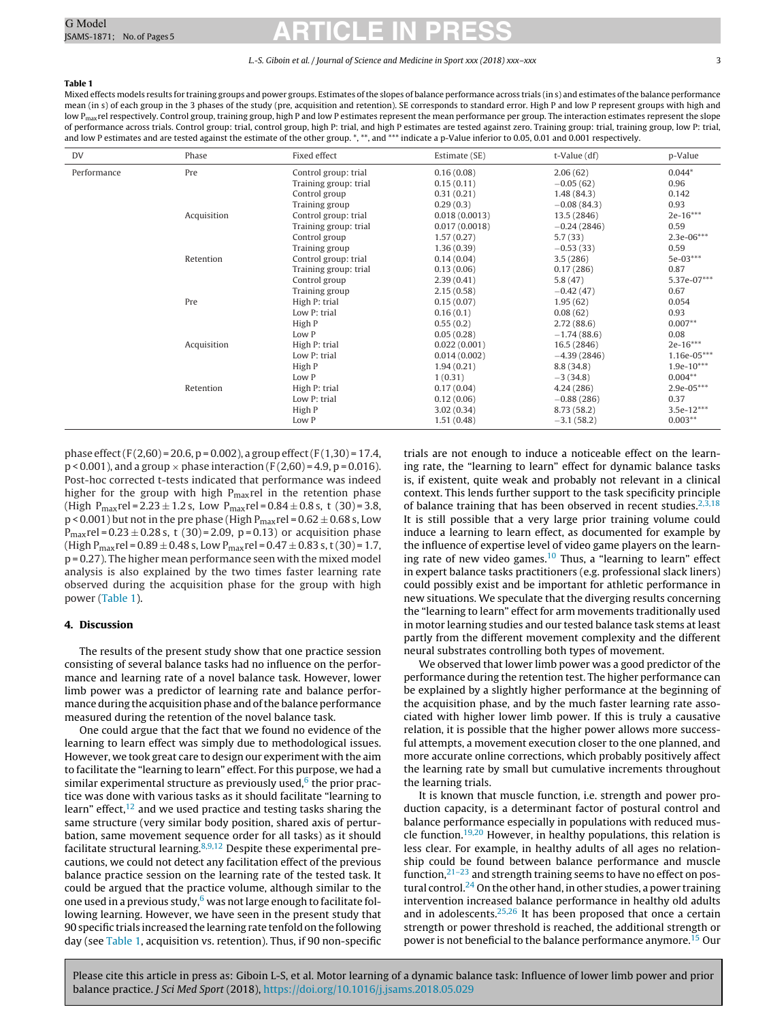#### L.-S. Giboin et al. / Journal of Science and Medicine in Sport xxx (2018) xxx–xxx 3

### <span id="page-2-0"></span>**Table 1**

Mixed effects models results for training groups and power groups. Estimates ofthe slopes of balance performance across trials (in s) and estimates ofthe balance performance mean (in s) of each group in the 3 phases of the study (pre, acquisition and retention). SE corresponds to standard error. High P and low P represent groups with high and low P<sub>max</sub>rel respectively. Control group, training group, high P and low P estimates represent the mean performance per group. The interaction estimates represent the slope of performance across trials. Control group: trial, control group, high P: trial, and high P estimates are tested against zero. Training group: trial, training group, low P: trial, and low P estimates and are tested against the estimate of the other group. \*, \*\*, and \*\*\* indicate a p-Value inferior to 0.05, 0.01 and 0.001 respectively.

| DV          | Phase       | Fixed effect          | Estimate (SE) | t-Value (df)  | p-Value      |
|-------------|-------------|-----------------------|---------------|---------------|--------------|
| Performance | Pre         | Control group: trial  | 0.16(0.08)    | 2.06(62)      | $0.044*$     |
|             |             | Training group: trial | 0.15(0.11)    | $-0.05(62)$   | 0.96         |
|             |             | Control group         | 0.31(0.21)    | 1.48(84.3)    | 0.142        |
|             |             | Training group        | 0.29(0.3)     | $-0.08(84.3)$ | 0.93         |
|             | Acquisition | Control group: trial  | 0.018(0.0013) | 13.5 (2846)   | $2e-16***$   |
|             |             | Training group: trial | 0.017(0.0018) | $-0.24(2846)$ | 0.59         |
|             |             | Control group         | 1.57(0.27)    | 5.7(33)       | 2.3e-06***   |
|             |             | Training group        | 1.36(0.39)    | $-0.53(33)$   | 0.59         |
|             | Retention   | Control group: trial  | 0.14(0.04)    | 3.5(286)      | 5e-03***     |
|             |             | Training group: trial | 0.13(0.06)    | 0.17(286)     | 0.87         |
|             |             | Control group         | 2.39(0.41)    | 5.8(47)       | 5.37e-07***  |
|             |             | Training group        | 2.15(0.58)    | $-0.42(47)$   | 0.67         |
|             | Pre         | High P: trial         | 0.15(0.07)    | 1.95(62)      | 0.054        |
|             |             | Low P: trial          | 0.16(0.1)     | 0.08(62)      | 0.93         |
|             |             | High P                | 0.55(0.2)     | 2.72(88.6)    | $0.007**$    |
|             |             | Low P                 | 0.05(0.28)    | $-1.74(88.6)$ | 0.08         |
|             | Acquisition | High P: trial         | 0.022(0.001)  | 16.5 (2846)   | $2e-16***$   |
|             |             | Low P: trial          | 0.014(0.002)  | $-4.39(2846)$ | 1.16e-05***  |
|             |             | High P                | 1.94(0.21)    | 8.8(34.8)     | $1.9e-10***$ |
|             |             | Low P                 | 1(0.31)       | $-3(34.8)$    | $0.004**$    |
|             | Retention   | High P: trial         | 0.17(0.04)    | 4.24(286)     | $2.9e-05***$ |
|             |             | Low P: trial          | 0.12(0.06)    | $-0.88(286)$  | 0.37         |
|             |             | High P                | 3.02(0.34)    | 8.73(58.2)    | $3.5e-12***$ |
|             |             | Low P                 | 1.51(0.48)    | $-3.1(58.2)$  | $0.003**$    |

phase effect (F(2,60) = 20.6, p = 0.002), a group effect (F(1,30) = 17.4,  $p < 0.001$ ), and a group  $\times$  phase interaction (F(2.60) = 4.9, p = 0.016). Post-hoc corrected t-tests indicated that performance was indeed higher for the group with high  $P_{max}$ rel in the retention phase (High  $P_{\text{max}}$ rel = 2.23  $\pm$  1.2 s, Low  $P_{\text{max}}$ rel = 0.84  $\pm$  0.8 s, t (30) = 3.8,  $p$  < 0.001) but not in the pre phase (High  $P_{\text{max}}$ rel = 0.62  $\pm$  0.68 s, Low  $P_{\text{max}}$ rel = 0.23 ± 0.28 s, t (30) = 2.09, p = 0.13) or acquisition phase (High P<sub>max</sub>rel =  $0.89 \pm 0.48$  s, Low P<sub>max</sub>rel =  $0.47 \pm 0.83$  s, t (30) = 1.7, p = 0.27). The higher mean performance seen with the mixed model analysis is also explained by the two times faster learning rate observed during the acquisition phase for the group with high power (Table 1).

### **4. Discussion**

The results of the present study show that one practice session consisting of several balance tasks had no influence on the performance and learning rate of a novel balance task. However, lower limb power was a predictor of learning rate and balance performance during the acquisition phase and ofthe balance performance measured during the retention of the novel balance task.

One could argue that the fact that we found no evidence of the learning to learn effect was simply due to methodological issues. However, we took great care to design our experiment with the aim to facilitate the "learning to learn" effect. For this purpose, we had a similar experimental structure as previously used, $6$  the prior practice was done with various tasks as it should facilitate "learning to learn" effect, $12$  and we used practice and testing tasks sharing the same structure (very similar body position, shared axis of perturbation, same movement sequence order for all tasks) as it should facilitate structural learning.<sup>8,9,12</sup> Despite these experimental precautions, we could not detect any facilitation effect of the previous balance practice session on the learning rate of the tested task. It could be argued that the practice volume, although similar to the one used in a previous study, $6$  was not large enough to facilitate following learning. However, we have seen in the present study that 90 specific trials increased the learning rate tenfold onthe following day (see Table 1, acquisition vs. retention). Thus, if 90 non-specific trials are not enough to induce a noticeable effect on the learning rate, the "learning to learn" effect for dynamic balance tasks is, if existent, quite weak and probably not relevant in a clinical context. This lends further support to the task specificity principle of balance training that has been observed in recent studies. $2,3,18$ It is still possible that a very large prior training volume could induce a learning to learn effect, as documented for example by the influence of expertise level of video game players on the learning rate of new video games. $10$  Thus, a "learning to learn" effect in expert balance tasks practitioners (e.g. professional slack liners) could possibly exist and be important for athletic performance in new situations. We speculate that the diverging results concerning the "learning to learn" effect for arm movements traditionally used in motor learning studies and our tested balance task stems at least partly from the different movement complexity and the different neural substrates controlling both types of movement.

We observed that lower limb power was a good predictor of the performance during the retention test. The higher performance can be explained by a slightly higher performance at the beginning of the acquisition phase, and by the much faster learning rate associated with higher lower limb power. If this is truly a causative relation, it is possible that the higher power allows more successful attempts, a movement execution closer to the one planned, and more accurate online corrections, which probably positively affect the learning rate by small but cumulative increments throughout the learning trials.

It is known that muscle function, i.e. strength and power production capacity, is a determinant factor of postural control and balance performance especially in populations with reduced muscle function[.19,20](#page-4-0) However, in healthy populations, this relation is less clear. For example, in healthy adults of all ages no relationship could be found between balance performance and muscle function[,21–23](#page-4-0) and strength training seems to have no effect on postural control[.24](#page-4-0) On the other hand, in other studies, a power training intervention increased balance performance in healthy old adults and in adolescents.<sup>25,26</sup> It has been proposed that once a certain strength or power threshold is reached, the additional strength or power is not beneficial to the balance performance anymore[.15](#page-4-0) Our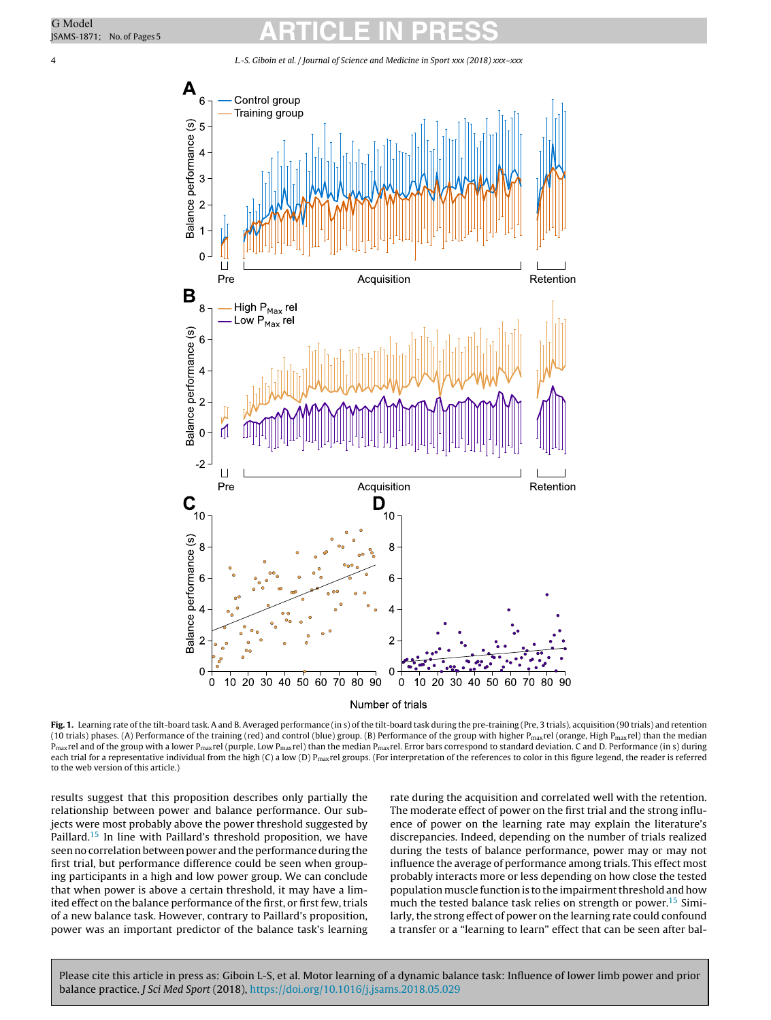<span id="page-3-0"></span>4 L.-S. Giboin et al. / Journal of Science and Medicine in Sport xxx (2018) xxx–xxx





Fig. 1. Learning rate of the tilt-board task. A and B. Averaged performance (in s) of the tilt-board task during the pre-training (Pre, 3 trials), acquisition (90 trials) and retention (10 trials) phases. (A) Performance of the training (red) and control (blue) group. (B) Performance of the group with higher P<sub>max</sub>rel (orange, High P<sub>max</sub>rel) than the median  $P_{\text{max}}$ rel and of the group with a lower P<sub>max</sub>rel (purple, Low P<sub>max</sub>rel) than the median P<sub>max</sub>rel. Error bars correspond to standard deviation. C and D. Performance (in s) during each trial for a representative individual from the high (C) a low (D)  $P_{max}$ rel groups. (For interpretation of the references to color in this figure legend, the reader is referred to the web version of this article.)

results suggest that this proposition describes only partially the relationship between power and balance performance. Our subjects were most probably above the power threshold suggested by Paillard.<sup>[15](#page-4-0)</sup> In line with Paillard's threshold proposition, we have seen no correlation between power and the performance during the first trial, but performance difference could be seen when grouping participants in a high and low power group. We can conclude that when power is above a certain threshold, it may have a limited effect on the balance performance of the first, or first few, trials of a new balance task. However, contrary to Paillard's proposition, power was an important predictor of the balance task's learning

rate during the acquisition and correlated well with the retention. The moderate effect of power on the first trial and the strong influence of power on the learning rate may explain the literature's discrepancies. Indeed, depending on the number of trials realized during the tests of balance performance, power may or may not influence the average of performance among trials. This effect most probably interacts more or less depending on how close the tested population muscle function is to the impairment threshold and how much the tested balance task relies on strength or power.<sup>15</sup> Similarly, the strong effect of power on the learning rate could confound a transfer or a "learning to learn" effect that can be seen after bal-